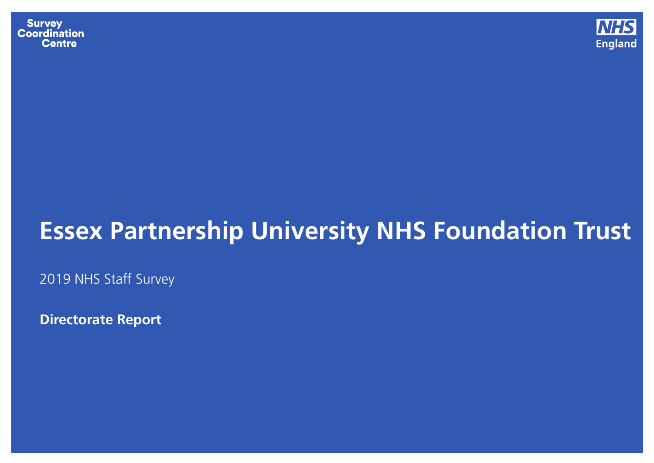**Survey Coordination Centre** 



## **Essex Partnership University NHS Foundation Trust**

2019 NHS Staff Survey

**Directorate Report**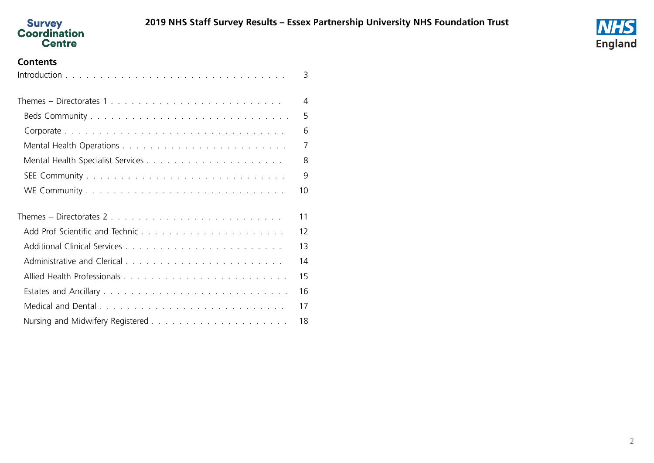



#### **Contents**

<span id="page-1-0"></span>

|                           | 3              |
|---------------------------|----------------|
| Themes – Directorates 1   | $\overline{4}$ |
|                           | 5              |
|                           | 6              |
|                           | $\overline{7}$ |
|                           | 8              |
|                           | 9              |
|                           | 10             |
| Themes – Directorates $2$ | 11             |
|                           | 12             |
|                           | 13             |
|                           | 14             |
|                           | 15             |
|                           | 16             |
|                           | 17             |
|                           | 18             |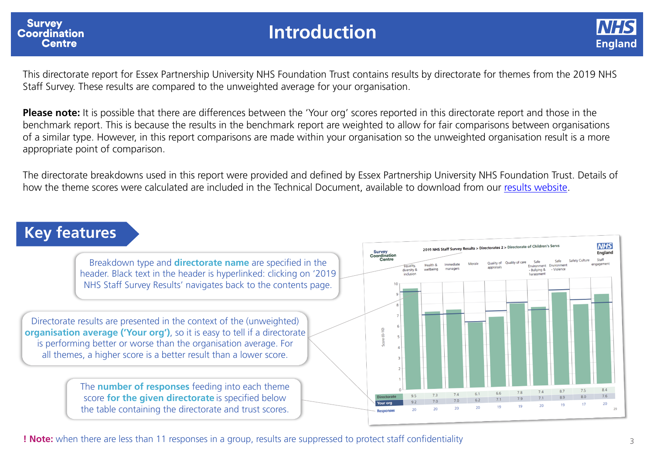<span id="page-2-0"></span>

### **Introduction**



This directorate report for Essex Partnership University NHS Foundation Trust contains results by directorate for themes from the 2019 NHS Staff Survey. These results are compared to the unweighted average for your organisation.

**Please note:** It is possible that there are differences between the 'Your org' scores reported in this directorate report and those in the benchmark report. This is because the results in the benchmark report are weighted to allow for fair comparisons between organisations of a similar type. However, in this report comparisons are made within your organisation so the unweighted organisation result is a more appropriate point of comparison.

The directorate breakdowns used in this report were provided and defined by Essex Partnership University NHS Foundation Trust. Details of how the theme scores were calculated are included in the Technical Document, available to download from our results [website](http://www.nhsstaffsurveyresults.com/).

### **Key features**



**! Note:** when there are less than 11 responses in a group, results are suppressed to protect staff confidentiality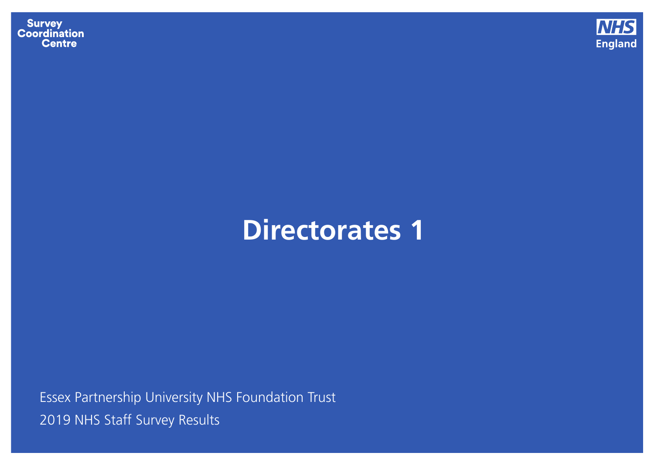**Survey<br>Coordination<br>Centre** 



# **Directorates 1**

<span id="page-3-0"></span>Essex Partnership University NHS Foundation Trust 2019 NHS Staff Survey [Results](#page-1-0)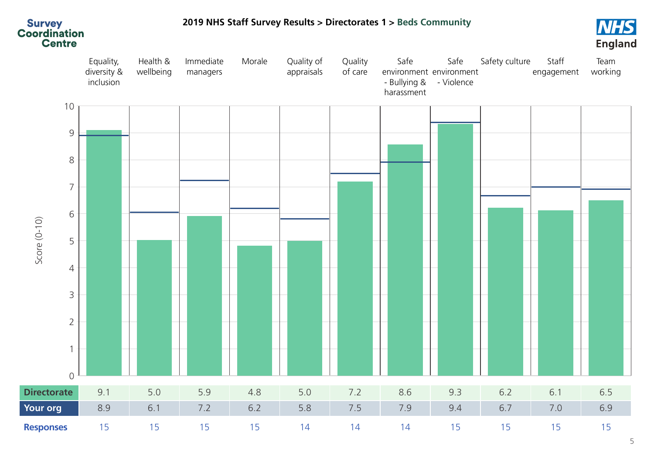<span id="page-4-0"></span>

#### **2019 NHS Staff Survey [Results](#page-1-0) > [Directorates](#page-3-0) 1 > Beds Community**

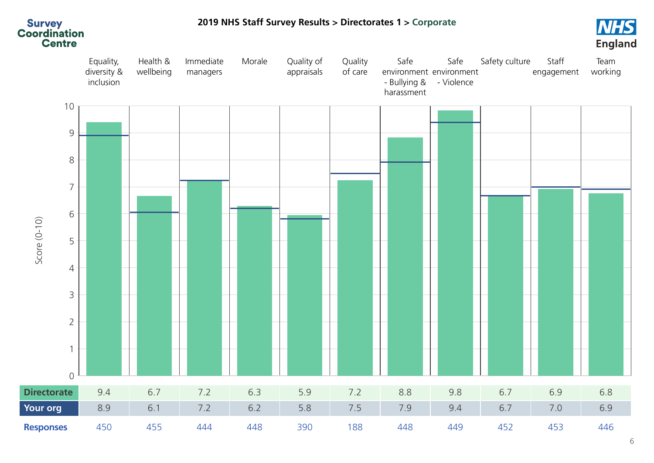<span id="page-5-0"></span>

**2019 NHS Staff Survey [Results](#page-1-0) > [Directorates](#page-3-0) 1 > Corporate**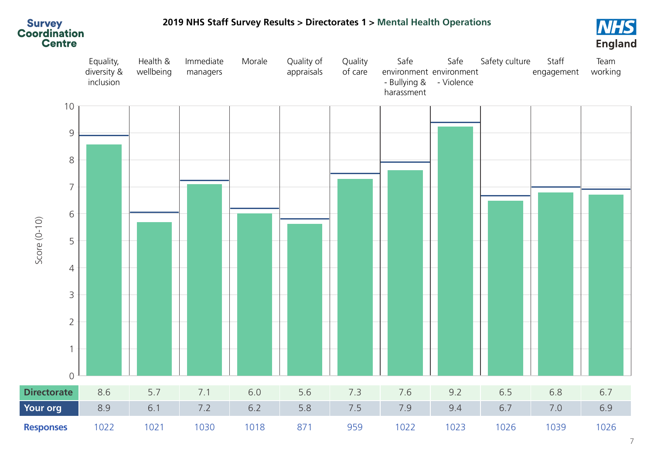

### <span id="page-6-0"></span>**2019 NHS Staff Survey [Results](#page-1-0) > [Directorates](#page-3-0) 1 > Mental Health Operations**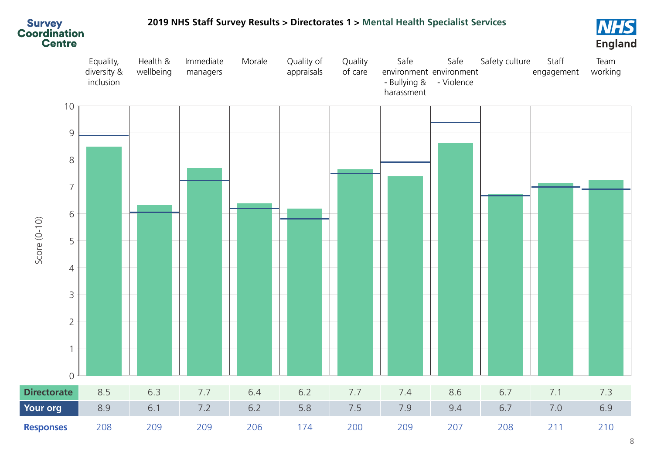<span id="page-7-0"></span>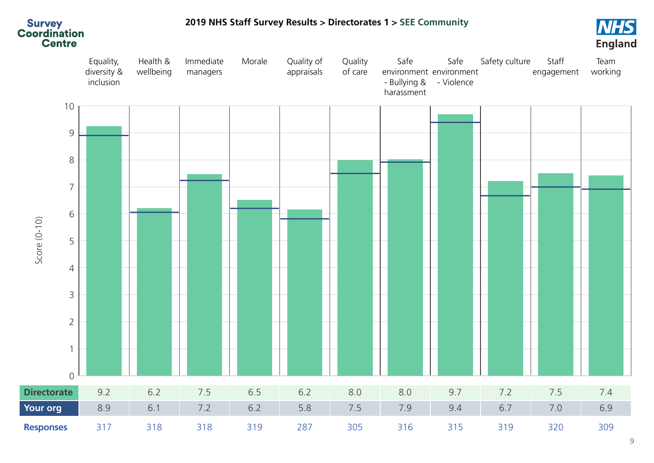<span id="page-8-0"></span>

#### **2019 NHS Staff Survey [Results](#page-1-0) > [Directorates](#page-3-0) 1 > SEE Community**

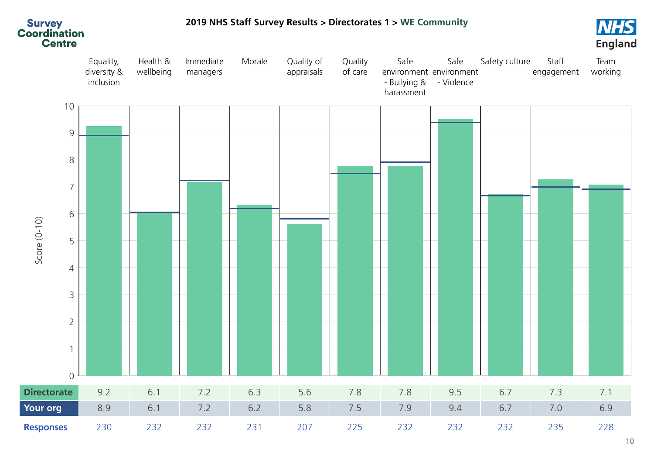<span id="page-9-0"></span>

**2019 NHS Staff Survey [Results](#page-1-0) > [Directorates](#page-3-0) 1 > WE Community**

#### 10

**NHS**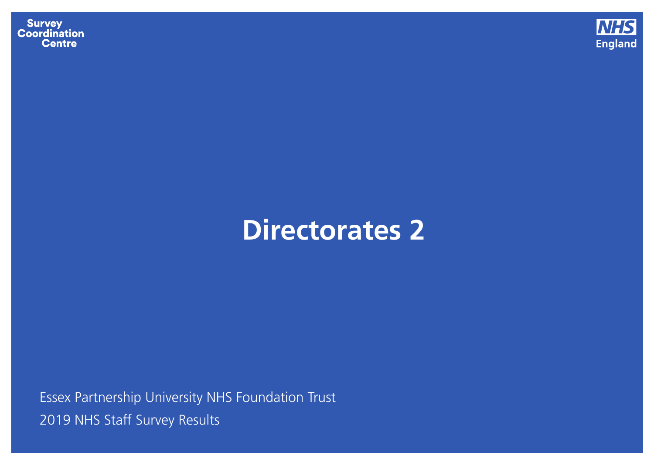**Survey<br>Coordination<br>Centre** 



# **Directorates 2**

<span id="page-10-0"></span>Essex Partnership University NHS Foundation Trust 2019 NHS Staff Survey [Results](#page-1-0)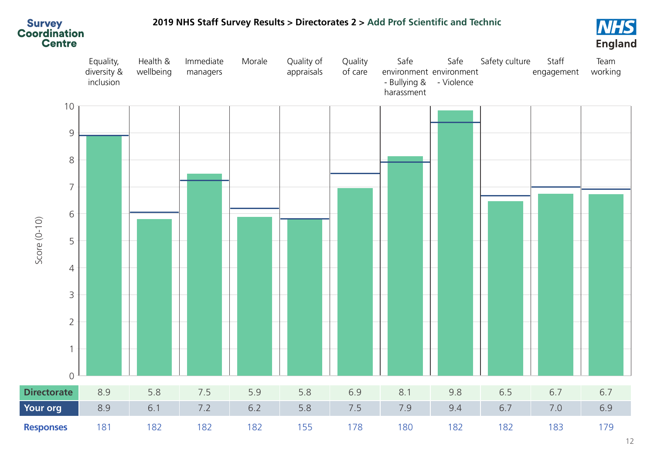

#### <span id="page-11-0"></span>**2019 NHS Staff Survey [Results](#page-1-0) > [Directorates](#page-10-0) 2 > Add Prof Scientic and Technic**

**NHS England**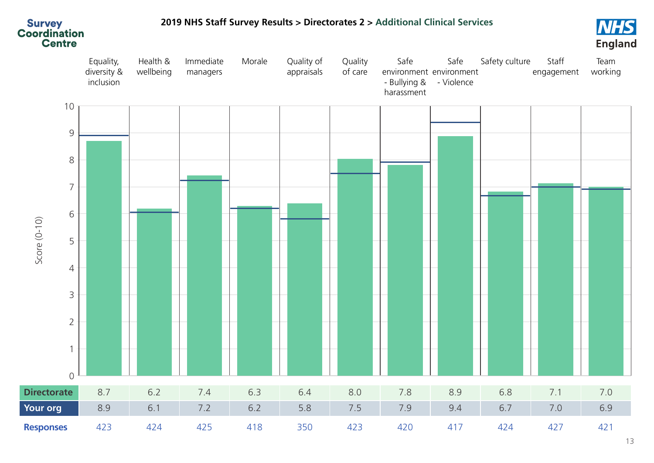

#### <span id="page-12-0"></span>**2019 NHS Staff Survey [Results](#page-1-0) > [Directorates](#page-10-0) 2 > Additional Clinical Services**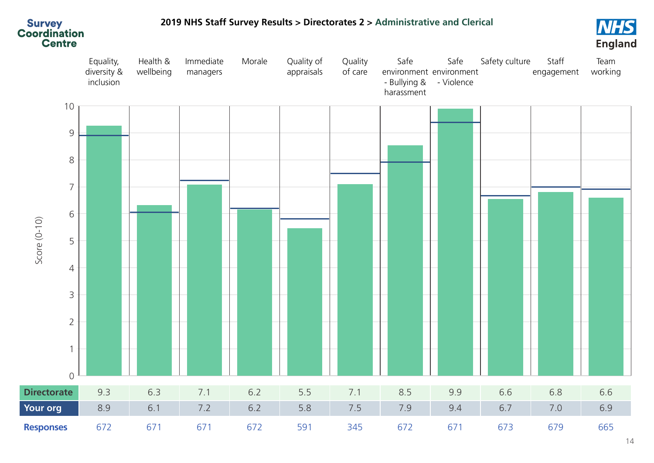

#### <span id="page-13-0"></span>**2019 NHS Staff Survey [Results](#page-1-0) > [Directorates](#page-10-0) 2 > Administrative and Clerical**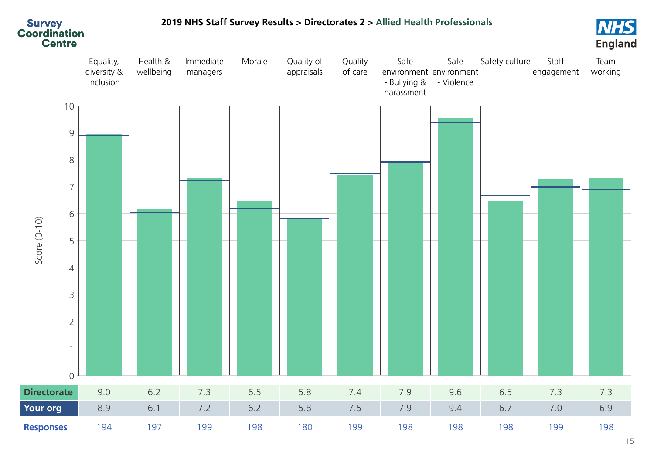

#### <span id="page-14-0"></span>**2019 NHS Staff Survey [Results](#page-1-0) > [Directorates](#page-10-0) 2 > Allied Health Professionals**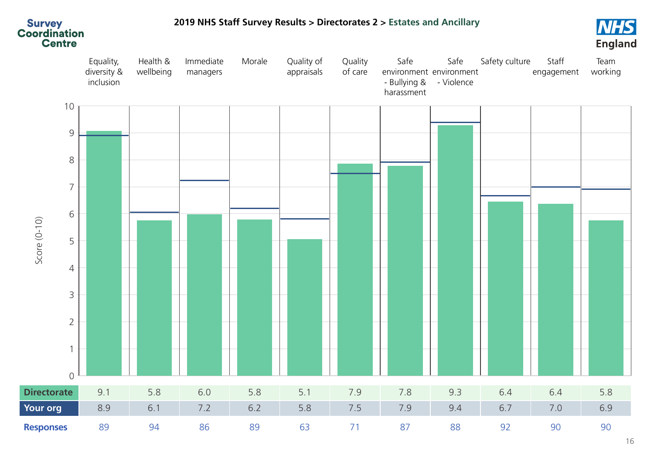

#### <span id="page-15-0"></span>**2019 NHS Staff Survey [Results](#page-1-0) > [Directorates](#page-10-0) 2 > Estates and Ancillary**

16

**NHS**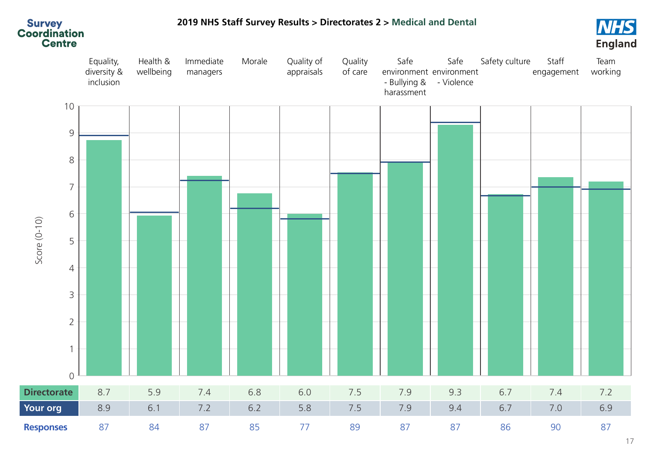<span id="page-16-0"></span>

#### **2019 NHS Staff Survey [Results](#page-1-0) > [Directorates](#page-10-0) 2 > Medical and Dental**